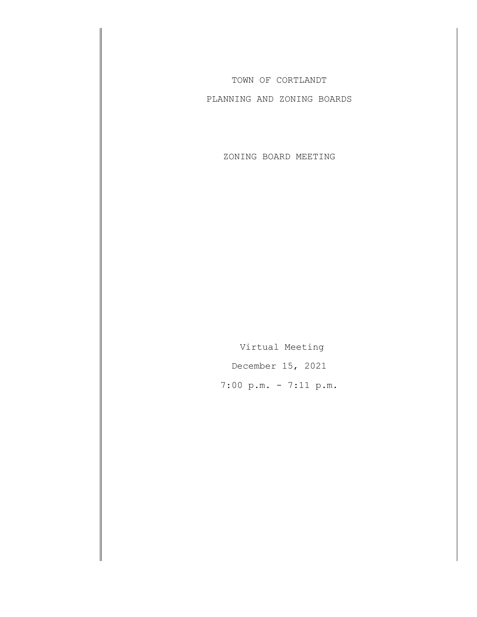TOWN OF CORTLANDT

PLANNING AND ZONING BOARDS

ZONING BOARD MEETING

Virtual Meeting December 15, 2021 7:00 p.m. - 7:11 p.m.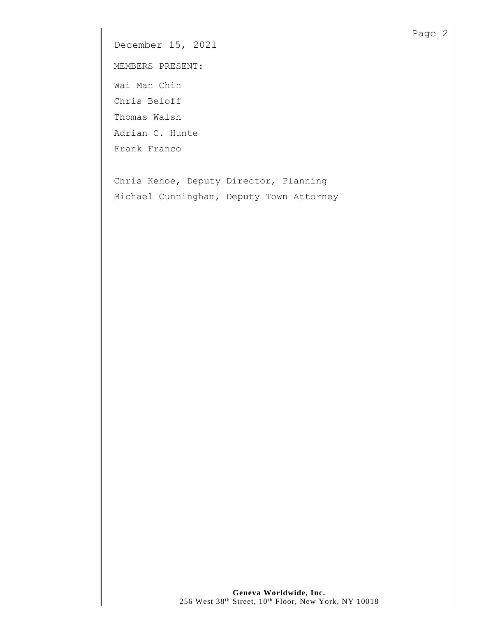December 15, 2021

MEMBERS PRESENT:

Wai Man Chin Chris Beloff

Thomas Walsh

Adrian C. Hunte

Frank Franco

Chris Kehoe, Deputy Director, Planning Michael Cunningham, Deputy Town Attorney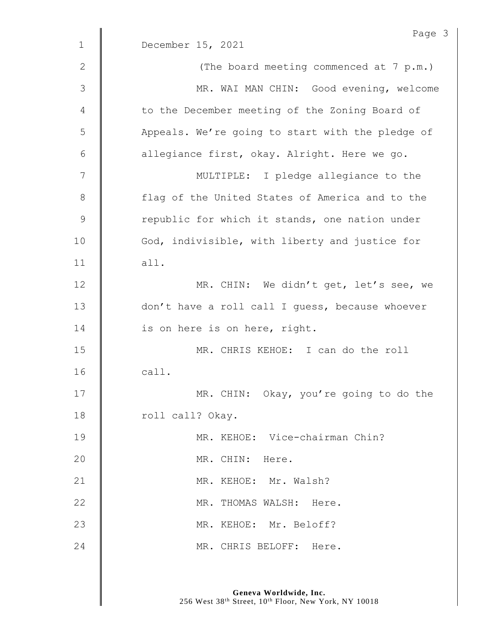|              | Page 3                                           |
|--------------|--------------------------------------------------|
| $\mathbf 1$  | December 15, 2021                                |
| $\mathbf{2}$ | (The board meeting commenced at 7 p.m.)          |
| 3            | MR. WAI MAN CHIN: Good evening, welcome          |
| 4            | to the December meeting of the Zoning Board of   |
| 5            | Appeals. We're going to start with the pledge of |
| 6            | allegiance first, okay. Alright. Here we go.     |
| 7            | MULTIPLE: I pledge allegiance to the             |
| 8            | flag of the United States of America and to the  |
| $\mathsf 9$  | republic for which it stands, one nation under   |
| 10           | God, indivisible, with liberty and justice for   |
| 11           | all.                                             |
| 12           | MR. CHIN: We didn't get, let's see, we           |
| 13           | don't have a roll call I guess, because whoever  |
| 14           | is on here is on here, right.                    |
| 15           | MR. CHRIS KEHOE: I can do the roll               |
| 16           | call.                                            |
| 17           | MR. CHIN: Okay, you're going to do the           |
| 18           | roll call? Okay.                                 |
| 19           | MR. KEHOE: Vice-chairman Chin?                   |
| 20           | MR. CHIN: Here.                                  |
| 21           | MR. KEHOE: Mr. Walsh?                            |
| 22           | MR. THOMAS WALSH: Here.                          |
| 23           | MR. KEHOE: Mr. Beloff?                           |
| 24           | MR. CHRIS BELOFF: Here.                          |
|              |                                                  |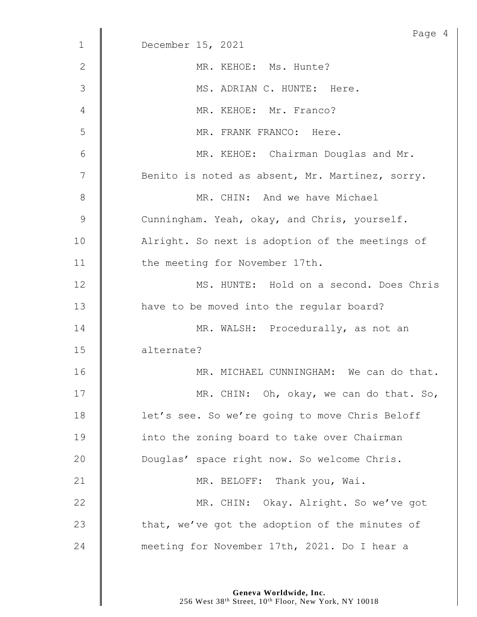|              | Page 4                                          |
|--------------|-------------------------------------------------|
| $\mathbf{1}$ | December 15, 2021                               |
| 2            | MR. KEHOE: Ms. Hunte?                           |
| 3            | MS. ADRIAN C. HUNTE: Here.                      |
| 4            | MR. KEHOE: Mr. Franco?                          |
| 5            | MR. FRANK FRANCO: Here.                         |
| 6            | MR. KEHOE: Chairman Douglas and Mr.             |
| 7            | Benito is noted as absent, Mr. Martinez, sorry. |
| 8            | MR. CHIN: And we have Michael                   |
| 9            | Cunningham. Yeah, okay, and Chris, yourself.    |
| 10           | Alright. So next is adoption of the meetings of |
| 11           | the meeting for November 17th.                  |
| 12           | MS. HUNTE: Hold on a second. Does Chris         |
| 13           | have to be moved into the regular board?        |
| 14           | MR. WALSH: Procedurally, as not an              |
| 15           | alternate?                                      |
| 16           | MR. MICHAEL CUNNINGHAM: We can do that.         |
| 17           | MR. CHIN: Oh, okay, we can do that. So,         |
| 18           | let's see. So we're going to move Chris Beloff  |
| 19           | into the zoning board to take over Chairman     |
| 20           | Douglas' space right now. So welcome Chris.     |
| 21           | MR. BELOFF: Thank you, Wai.                     |
| 22           | MR. CHIN: Okay. Alright. So we've got           |
|              |                                                 |
| 23           | that, we've got the adoption of the minutes of  |
| 24           | meeting for November 17th, 2021. Do I hear a    |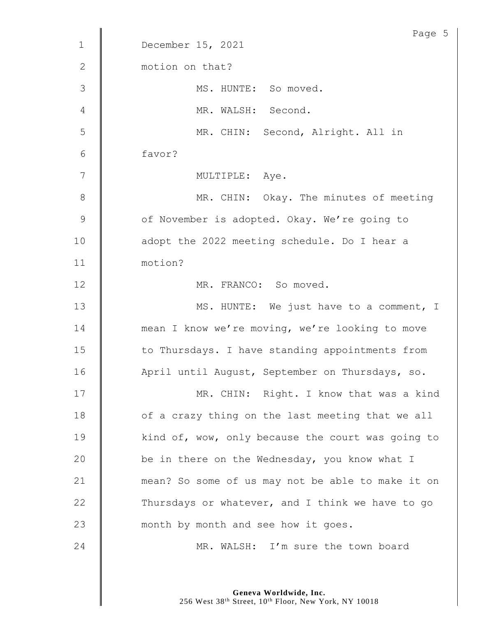|                 | Page 5                                            |
|-----------------|---------------------------------------------------|
| $\mathbf 1$     | December 15, 2021                                 |
| $\mathbf{2}$    | motion on that?                                   |
| 3               | MS. HUNTE: So moved.                              |
| 4               | MR. WALSH: Second.                                |
| 5               | MR. CHIN: Second, Alright. All in                 |
| $6\phantom{.}6$ | favor?                                            |
| 7               | MULTIPLE: Aye.                                    |
| 8               | MR. CHIN: Okay. The minutes of meeting            |
| 9               | of November is adopted. Okay. We're going to      |
| 10              | adopt the 2022 meeting schedule. Do I hear a      |
| 11              | motion?                                           |
| 12              | MR. FRANCO: So moved.                             |
| 13              | MS. HUNTE: We just have to a comment, I           |
| 14              | mean I know we're moving, we're looking to move   |
| 15              | to Thursdays. I have standing appointments from   |
| 16              | April until August, September on Thursdays, so.   |
| 17              | MR. CHIN: Right. I know that was a kind           |
| 18              | of a crazy thing on the last meeting that we all  |
| 19              | kind of, wow, only because the court was going to |
| 20              | be in there on the Wednesday, you know what I     |
| 21              | mean? So some of us may not be able to make it on |
| 22              | Thursdays or whatever, and I think we have to go  |
|                 |                                                   |
| 23              | month by month and see how it goes.               |
| 24              | MR. WALSH: I'm sure the town board                |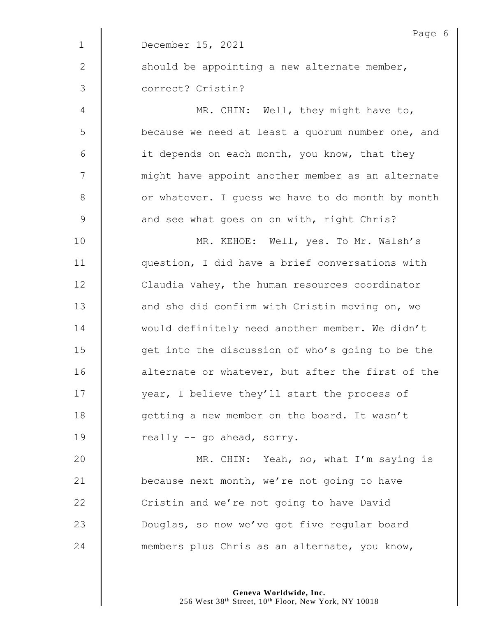|               | Page 6                                            |
|---------------|---------------------------------------------------|
| $\mathbf{1}$  | December 15, 2021                                 |
| $\mathbf{2}$  | should be appointing a new alternate member,      |
| $\mathcal{S}$ | correct? Cristin?                                 |
| 4             | MR. CHIN: Well, they might have to,               |
| 5             | because we need at least a quorum number one, and |
| 6             | it depends on each month, you know, that they     |
| 7             | might have appoint another member as an alternate |
| $8\,$         | or whatever. I guess we have to do month by month |
| 9             | and see what goes on on with, right Chris?        |
| 10            | MR. KEHOE: Well, yes. To Mr. Walsh's              |
| 11            | question, I did have a brief conversations with   |
| 12            | Claudia Vahey, the human resources coordinator    |
| 13            | and she did confirm with Cristin moving on, we    |
| 14            | would definitely need another member. We didn't   |
| 15            | get into the discussion of who's going to be the  |
| 16            | alternate or whatever, but after the first of the |
| 17            | year, I believe they'll start the process of      |
| 18            | getting a new member on the board. It wasn't      |
| 19            | really -- go ahead, sorry.                        |
| 20            | MR. CHIN: Yeah, no, what I'm saying is            |
| 21            | because next month, we're not going to have       |
| 22            | Cristin and we're not going to have David         |
| 23            | Douglas, so now we've got five regular board      |
| 24            | members plus Chris as an alternate, you know,     |
|               |                                                   |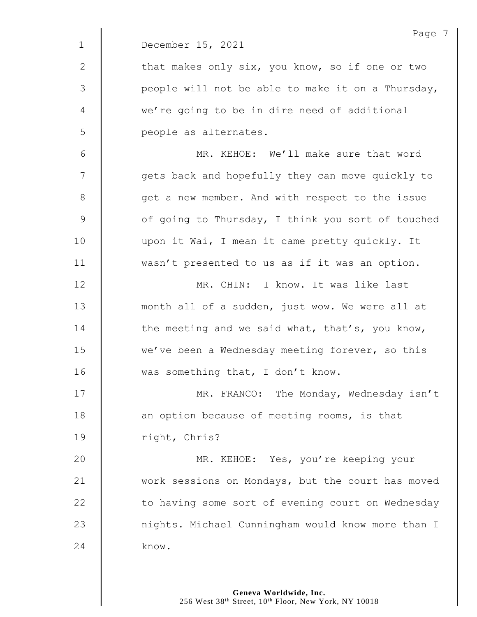|                 | Page 7                                            |
|-----------------|---------------------------------------------------|
| $\mathbf{1}$    | December 15, 2021                                 |
| $\mathbf{2}$    | that makes only six, you know, so if one or two   |
| 3               | people will not be able to make it on a Thursday, |
| 4               | we're going to be in dire need of additional      |
| 5               | people as alternates.                             |
| $6\phantom{1}6$ | MR. KEHOE: We'll make sure that word              |
| 7               | gets back and hopefully they can move quickly to  |
| 8               | get a new member. And with respect to the issue   |
| $\mathcal{G}$   | of going to Thursday, I think you sort of touched |
| 10              | upon it Wai, I mean it came pretty quickly. It    |
| 11              | wasn't presented to us as if it was an option.    |
| 12              | MR. CHIN: I know. It was like last                |
| 13              | month all of a sudden, just wow. We were all at   |
| 14              | the meeting and we said what, that's, you know,   |
| 15              | we've been a Wednesday meeting forever, so this   |
| 16              | was something that, I don't know.                 |
| 17              | MR. FRANCO: The Monday, Wednesday isn't           |
| 18              | an option because of meeting rooms, is that       |
| 19              | right, Chris?                                     |
| 20              | MR. KEHOE: Yes, you're keeping your               |
| 21              | work sessions on Mondays, but the court has moved |
| 22              | to having some sort of evening court on Wednesday |
| 23              | nights. Michael Cunningham would know more than I |
| 24              | know.                                             |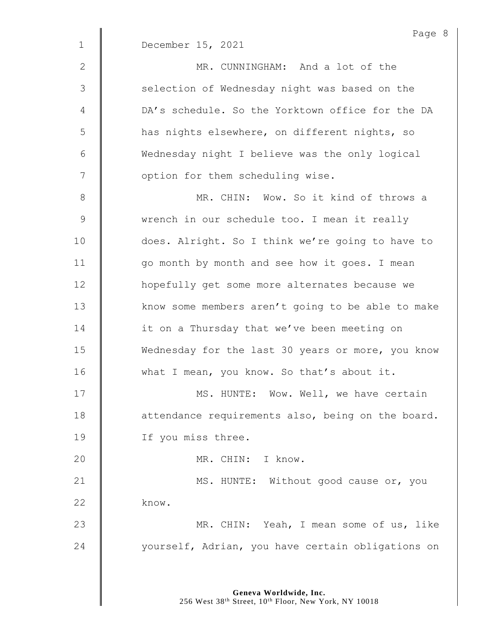| $\mathbf{1}$  | Page $\{$<br>December 15, 2021                    |
|---------------|---------------------------------------------------|
| $\mathbf{2}$  | MR. CUNNINGHAM: And a lot of the                  |
| 3             | selection of Wednesday night was based on the     |
| 4             | DA's schedule. So the Yorktown office for the DA  |
| 5             | has nights elsewhere, on different nights, so     |
| 6             | Wednesday night I believe was the only logical    |
| 7             | option for them scheduling wise.                  |
| 8             | MR. CHIN: Wow. So it kind of throws a             |
| $\mathcal{G}$ | wrench in our schedule too. I mean it really      |
| 10            | does. Alright. So I think we're going to have to  |
| 11            | go month by month and see how it goes. I mean     |
| 12            | hopefully get some more alternates because we     |
| 13            | know some members aren't going to be able to make |
| 14            | it on a Thursday that we've been meeting on       |
| 15            | Wednesday for the last 30 years or more, you know |
| 16            | what I mean, you know. So that's about it.        |
| 17            | MS. HUNTE: Wow. Well, we have certain             |
| 18            | attendance requirements also, being on the board. |
| 19            | If you miss three.                                |
| 20            | MR. CHIN: I know.                                 |
| 21            | MS. HUNTE: Without good cause or, you             |
| 22            | know.                                             |
| 23            | MR. CHIN: Yeah, I mean some of us, like           |
| 24            | yourself, Adrian, you have certain obligations on |
|               |                                                   |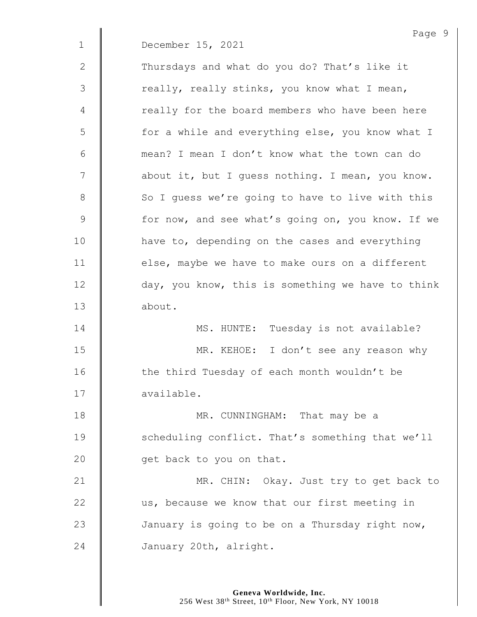|              | Page 9                                            |
|--------------|---------------------------------------------------|
| $\mathbf{1}$ | December 15, 2021                                 |
| 2            | Thursdays and what do you do? That's like it      |
| 3            | really, really stinks, you know what I mean,      |
| 4            | really for the board members who have been here   |
| 5            | for a while and everything else, you know what I  |
| 6            | mean? I mean I don't know what the town can do    |
| 7            | about it, but I guess nothing. I mean, you know.  |
| 8            | So I quess we're going to have to live with this  |
| $\mathsf 9$  | for now, and see what's going on, you know. If we |
| 10           | have to, depending on the cases and everything    |
| 11           | else, maybe we have to make ours on a different   |
| 12           | day, you know, this is something we have to think |
| 13           | about.                                            |
| 14           | MS. HUNTE: Tuesday is not available?              |
| 15           | MR. KEHOE: I don't see any reason why             |
| 16           | the third Tuesday of each month wouldn't be       |
| 17           | available.                                        |
| 18           | MR. CUNNINGHAM: That may be a                     |
| 19           | scheduling conflict. That's something that we'll  |
| 20           | get back to you on that.                          |
| 21           | MR. CHIN: Okay. Just try to get back to           |
| 22           | us, because we know that our first meeting in     |
| 23           | January is going to be on a Thursday right now,   |
| 24           | January 20th, alright.                            |
|              |                                                   |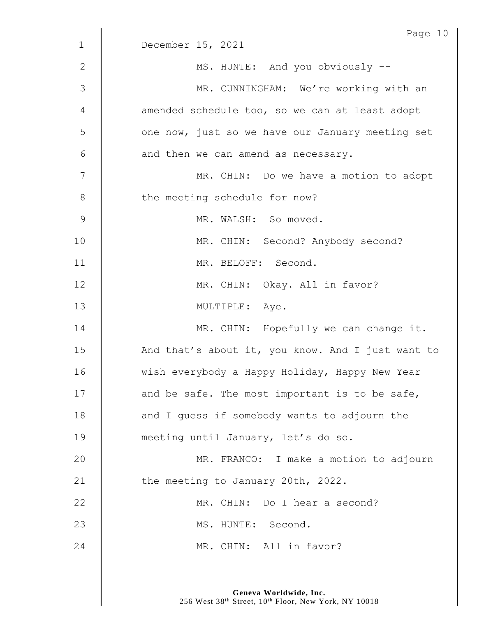|               | Page 10                                           |
|---------------|---------------------------------------------------|
| $\mathbf 1$   | December 15, 2021                                 |
| 2             | MS. HUNTE: And you obviously --                   |
| 3             | MR. CUNNINGHAM: We're working with an             |
| 4             | amended schedule too, so we can at least adopt    |
| 5             | one now, just so we have our January meeting set  |
| 6             | and then we can amend as necessary.               |
| 7             | MR. CHIN: Do we have a motion to adopt            |
| $8\,$         | the meeting schedule for now?                     |
| $\mathcal{G}$ | MR. WALSH: So moved.                              |
| 10            | MR. CHIN: Second? Anybody second?                 |
| 11            | MR. BELOFF: Second.                               |
| 12            | MR. CHIN: Okay. All in favor?                     |
| 13            | MULTIPLE: Aye.                                    |
| 14            | MR. CHIN: Hopefully we can change it.             |
| 15            | And that's about it, you know. And I just want to |
| 16            | wish everybody a Happy Holiday, Happy New Year    |
| 17            | and be safe. The most important is to be safe,    |
| 18            | and I guess if somebody wants to adjourn the      |
| 19            | meeting until January, let's do so.               |
| 20            | MR. FRANCO: I make a motion to adjourn            |
| 21            | the meeting to January 20th, 2022.                |
| 22            | MR. CHIN: Do I hear a second?                     |
| 23            | MS. HUNTE: Second.                                |
| 24            | MR. CHIN: All in favor?                           |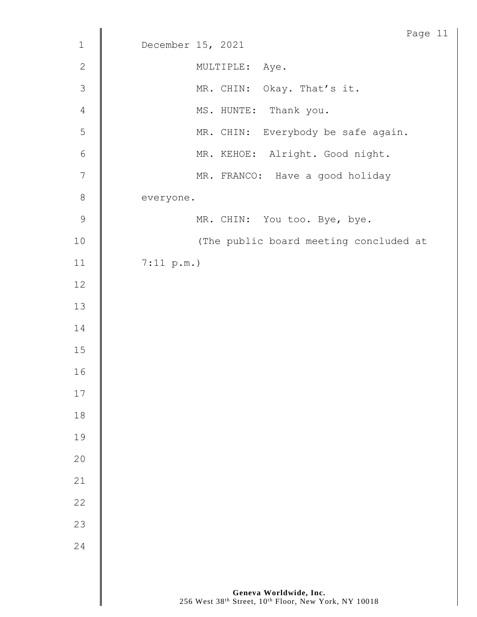|                | Page 11                                |
|----------------|----------------------------------------|
| $\mathbf 1$    | December 15, 2021                      |
| $\sqrt{2}$     | MULTIPLE: Aye.                         |
| $\mathfrak{Z}$ | MR. CHIN: Okay. That's it.             |
| $\overline{4}$ | MS. HUNTE: Thank you.                  |
| $\mathsf S$    | MR. CHIN: Everybody be safe again.     |
| $\sqrt{6}$     | MR. KEHOE: Alright. Good night.        |
| $\overline{7}$ | MR. FRANCO: Have a good holiday        |
| $\,8\,$        | everyone.                              |
| $\mathsf 9$    | MR. CHIN: You too. Bye, bye.           |
| $10$           | (The public board meeting concluded at |
| 11             | 7:11 p.m.                              |
| 12             |                                        |
| $13$           |                                        |
| 14             |                                        |
| $15$           |                                        |
| 16             |                                        |
| 17             |                                        |
| 18             |                                        |
| 19             |                                        |
| 20             |                                        |
| 21             |                                        |
| 22             |                                        |
| 23             |                                        |
| 24             |                                        |
|                |                                        |